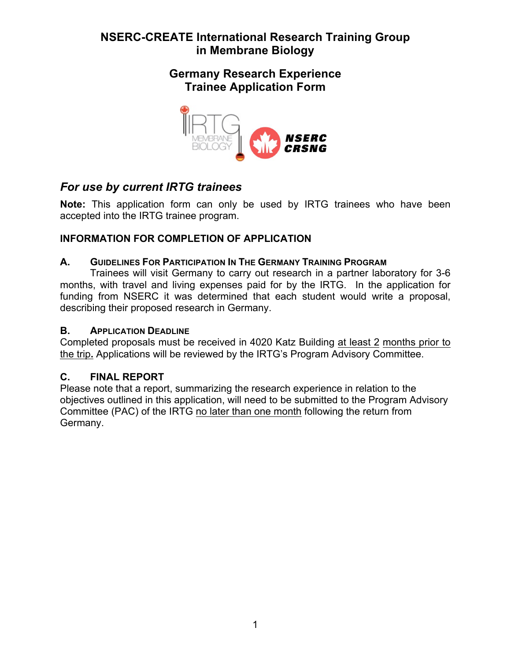## **Germany Research Experience Trainee Application Form**



# *For use by current IRTG trainees*

**Note:** This application form can only be used by IRTG trainees who have been accepted into the IRTG trainee program.

## **INFORMATION FOR COMPLETION OF APPLICATION**

### **A. GUIDELINES FOR PARTICIPATION IN THE GERMANY TRAINING PROGRAM**

Trainees will visit Germany to carry out research in a partner laboratory for 3-6 months, with travel and living expenses paid for by the IRTG. In the application for funding from NSERC it was determined that each student would write a proposal, describing their proposed research in Germany.

### **B. APPLICATION DEADLINE**

Completed proposals must be received in 4020 Katz Building at least 2 months prior to the trip**.** Applications will be reviewed by the IRTG's Program Advisory Committee.

### **C. FINAL REPORT**

Please note that a report, summarizing the research experience in relation to the objectives outlined in this application, will need to be submitted to the Program Advisory Committee (PAC) of the IRTG no later than one month following the return from Germany.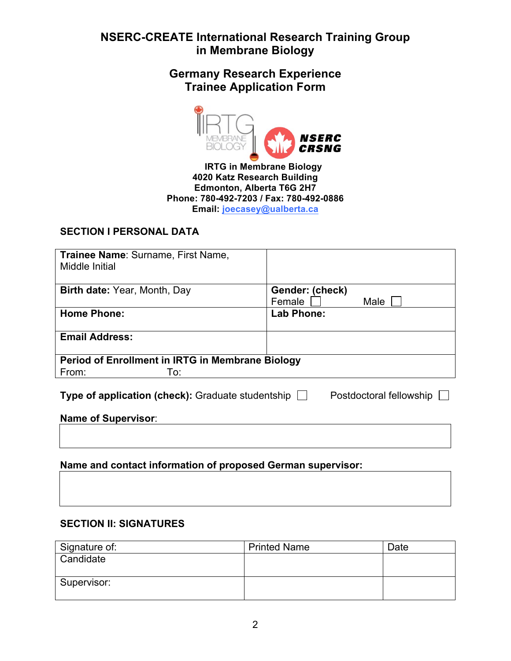**Germany Research Experience Trainee Application Form** 



 **IRTG in Membrane Biology 4020 Katz Research Building Edmonton, Alberta T6G 2H7 Phone: 780-492-7203 / Fax: 780-492-0886 Email: joecasey@ualberta.ca**

### **SECTION I PERSONAL DATA**

| Trainee Name: Surname, First Name,                                                         |                                   |  |  |
|--------------------------------------------------------------------------------------------|-----------------------------------|--|--|
| Middle Initial                                                                             |                                   |  |  |
|                                                                                            |                                   |  |  |
| <b>Birth date:</b> Year, Month, Day                                                        | Gender: (check)<br>Female<br>Male |  |  |
| <b>Home Phone:</b>                                                                         | <b>Lab Phone:</b>                 |  |  |
| <b>Email Address:</b>                                                                      |                                   |  |  |
| Period of Enrollment in IRTG in Membrane Biology                                           |                                   |  |  |
| From:<br>To:                                                                               |                                   |  |  |
| <b>Type of application (check):</b> Graduate studentship $\Box$<br>Postdoctoral fellowship |                                   |  |  |
| Name of Supervisor:                                                                        |                                   |  |  |
|                                                                                            |                                   |  |  |
| Name and contact information of proposed German supervisor:                                |                                   |  |  |

#### **SECTION II: SIGNATURES**

| Signature of: | <b>Printed Name</b> | Date |
|---------------|---------------------|------|
| Candidate     |                     |      |
|               |                     |      |
| Supervisor:   |                     |      |
|               |                     |      |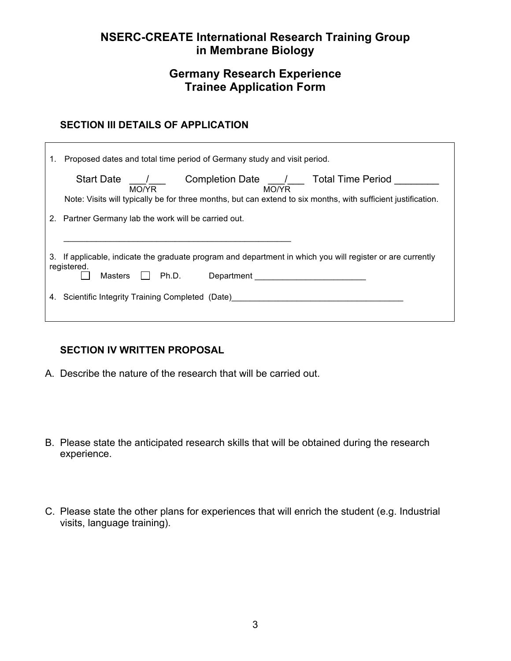## **Germany Research Experience Trainee Application Form**

### **SECTION III DETAILS OF APPLICATION**

|    | <b>Start Date</b><br>Completion Date ___________ Total Time Period<br>MO/YR<br>MO/YR                          |
|----|---------------------------------------------------------------------------------------------------------------|
|    | Note: Visits will typically be for three months, but can extend to six months, with sufficient justification. |
| 2. |                                                                                                               |
|    | Partner Germany lab the work will be carried out.                                                             |
|    |                                                                                                               |
|    |                                                                                                               |
|    |                                                                                                               |
| 3. | If applicable, indicate the graduate program and department in which you will register or are currently       |
|    |                                                                                                               |
|    | registered.                                                                                                   |
|    | <b>Masters</b><br>Ph.D.<br>Department                                                                         |

### **SECTION IV WRITTEN PROPOSAL**

- A. Describe the nature of the research that will be carried out.
- B. Please state the anticipated research skills that will be obtained during the research experience.
- C. Please state the other plans for experiences that will enrich the student (e.g. Industrial visits, language training).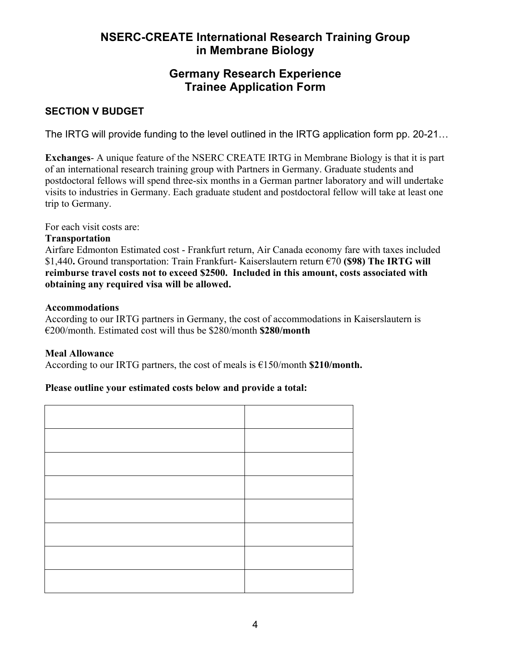## **Germany Research Experience Trainee Application Form**

### **SECTION V BUDGET**

The IRTG will provide funding to the level outlined in the IRTG application form pp. 20-21…

**Exchanges**- A unique feature of the NSERC CREATE IRTG in Membrane Biology is that it is part of an international research training group with Partners in Germany. Graduate students and postdoctoral fellows will spend three-six months in a German partner laboratory and will undertake visits to industries in Germany. Each graduate student and postdoctoral fellow will take at least one trip to Germany.

For each visit costs are:

#### **Transportation**

Airfare Edmonton Estimated cost - Frankfurt return, Air Canada economy fare with taxes included \$1,440**.** Ground transportation: Train Frankfurt- Kaiserslautern return €70 **(\$98) The IRTG will reimburse travel costs not to exceed \$2500. Included in this amount, costs associated with obtaining any required visa will be allowed.**

#### **Accommodations**

According to our IRTG partners in Germany, the cost of accommodations in Kaiserslautern is €200/month. Estimated cost will thus be \$280/month **\$280/month**

#### **Meal Allowance**

According to our IRTG partners, the cost of meals is  $\epsilon$ 150/month **\$210/month.** 

#### **Please outline your estimated costs below and provide a total:**